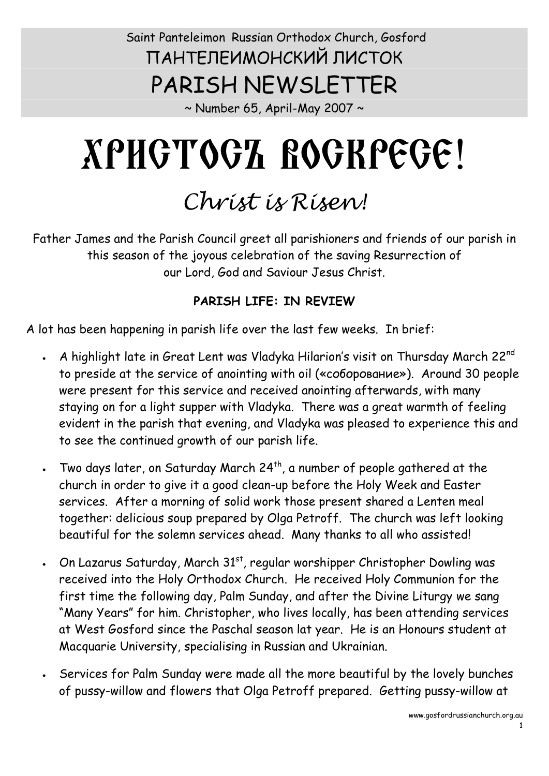### Saint Panteleimon Russian Orthodox Church, Gosford ПАНТЕЛЕИМОНСКИЙ ЛИСТОК PARISH NEWSLETTER

 $\sim$  Number 65, April-May 2007  $\sim$ 

# ХРИСТОСЪ ВОСКРЕСЕ!

## *Christ is Risen!*

Father James and the Parish Council greet all parishioners and friends of our parish in this season of the joyous celebration of the saving Resurrection of our Lord, God and Saviour Jesus Christ.

#### **PARISH LIFE: IN REVIEW**

A lot has been happening in parish life over the last few weeks. In brief:

- A highlight late in Great Lent was Vladyka Hilarion's visit on Thursday March 22<sup>nd</sup> to preside at the service of anointing with oil («соборование»). Around 30 people were present for this service and received anointing afterwards, with many staying on for a light supper with Vladyka. There was a great warmth of feeling evident in the parish that evening, and Vladyka was pleased to experience this and to see the continued growth of our parish life.
- Two days later, on Saturday March  $24^{th}$ , a number of people gathered at the church in order to give it a good clean-up before the Holy Week and Easter services. After a morning of solid work those present shared a Lenten meal together: delicious soup prepared by Olga Petroff. The church was left looking beautiful for the solemn services ahead. Many thanks to all who assisted!
- $\,$  On Lazarus Saturday, March 31 $^{\rm st}$ , regular worshipper Christopher Dowling was received into the Holy Orthodox Church. He received Holy Communion for the first time the following day, Palm Sunday, and after the Divine Liturgy we sang "Many Years" for him. Christopher, who lives locally, has been attending services at West Gosford since the Paschal season lat year. He is an Honours student at Macquarie University, specialising in Russian and Ukrainian.
- Services for Palm Sunday were made all the more beautiful by the lovely bunches of pussy-willow and flowers that Olga Petroff prepared. Getting pussy-willow at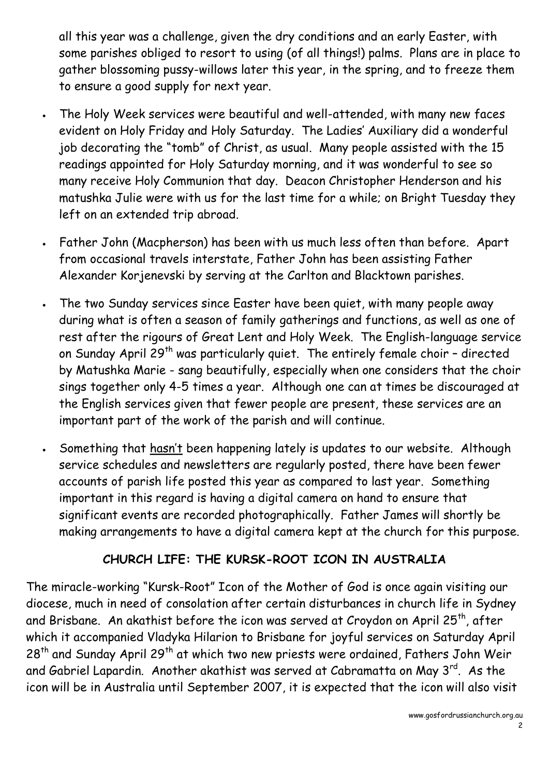all this year was a challenge, given the dry conditions and an early Easter, with some parishes obliged to resort to using (of all things!) palms. Plans are in place to gather blossoming pussy-willows later this year, in the spring, and to freeze them to ensure a good supply for next year.

- The Holy Week services were beautiful and well-attended, with many new faces evident on Holy Friday and Holy Saturday. The Ladies' Auxiliary did a wonderful job decorating the "tomb" of Christ, as usual. Many people assisted with the 15 readings appointed for Holy Saturday morning, and it was wonderful to see so many receive Holy Communion that day. Deacon Christopher Henderson and his matushka Julie were with us for the last time for a while; on Bright Tuesday they left on an extended trip abroad.
- · Father John (Macpherson) has been with us much less often than before. Apart from occasional travels interstate, Father John has been assisting Father Alexander Korjenevski by serving at the Carlton and Blacktown parishes.
- · The two Sunday services since Easter have been quiet, with many people away during what is often a season of family gatherings and functions, as well as one of rest after the rigours of Great Lent and Holy Week. The English-language service on Sunday April 29<sup>th</sup> was particularly quiet. The entirely female choir - directed by Matushka Marie - sang beautifully, especially when one considers that the choir sings together only 4-5 times a year. Although one can at times be discouraged at the English services given that fewer people are present, these services are an important part of the work of the parish and will continue.
- · Something that hasn't been happening lately is updates to our website. Although service schedules and newsletters are regularly posted, there have been fewer accounts of parish life posted this year as compared to last year. Something important in this regard is having a digital camera on hand to ensure that significant events are recorded photographically. Father James will shortly be making arrangements to have a digital camera kept at the church for this purpose.

#### **CHURCH LIFE: THE KURSK-ROOT ICON IN AUSTRALIA**

The miracle-working "Kursk-Root" Icon of the Mother of God is once again visiting our diocese, much in need of consolation after certain disturbances in church life in Sydney and Brisbane. An akathist before the icon was served at Croydon on April 25<sup>th</sup>, after which it accompanied Vladyka Hilarion to Brisbane for joyful services on Saturday April 28<sup>th</sup> and Sunday April 29<sup>th</sup> at which two new priests were ordained, Fathers John Weir and Gabriel Lapardin. Another akathist was served at Cabramatta on May 3<sup>rd</sup>. As the icon will be in Australia until September 2007, it is expected that the icon will also visit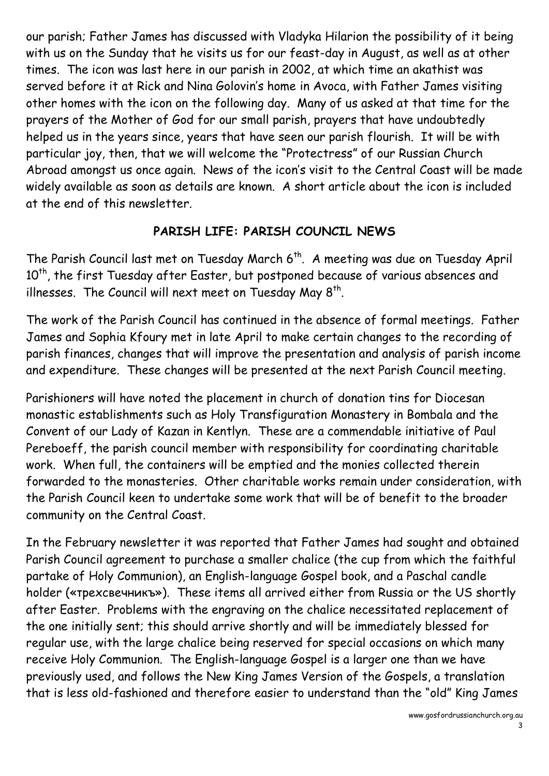our parish; Father James has discussed with Vladyka Hilarion the possibility of it being with us on the Sunday that he visits us for our feast-day in August, as well as at other times. The icon was last here in our parish in 2002, at which time an akathist was served before it at Rick and Nina Golovin's home in Avoca, with Father James visiting other homes with the icon on the following day. Many of us asked at that time for the prayers of the Mother of God for our small parish, prayers that have undoubtedly helped us in the years since, years that have seen our parish flourish. It will be with particular joy, then, that we will welcome the "Protectress" of our Russian Church Abroad amongst us once again. News of the icon's visit to the Central Coast will be made widely available as soon as details are known. A short article about the icon is included at the end of this newsletter.

#### **PARISH LIFE: PARISH COUNCIL NEWS**

The Parish Council last met on Tuesday March 6<sup>th</sup>. A meeting was due on Tuesday April 10<sup>th</sup>, the first Tuesday after Easter, but postponed because of various absences and illnesses. The Council will next meet on Tuesday May  $8^{th}$ .

The work of the Parish Council has continued in the absence of formal meetings. Father James and Sophia Kfoury met in late April to make certain changes to the recording of parish finances, changes that will improve the presentation and analysis of parish income and expenditure. These changes will be presented at the next Parish Council meeting.

Parishioners will have noted the placement in church of donation tins for Diocesan monastic establishments such as Holy Transfiguration Monastery in Bombala and the Convent of our Lady of Kazan in Kentlyn. These are a commendable initiative of Paul Pereboeff, the parish council member with responsibility for coordinating charitable work. When full, the containers will be emptied and the monies collected therein forwarded to the monasteries. Other charitable works remain under consideration, with the Parish Council keen to undertake some work that will be of benefit to the broader community on the Central Coast.

In the February newsletter it was reported that Father James had sought and obtained Parish Council agreement to purchase a smaller chalice (the cup from which the faithful partake of Holy Communion), an English-language Gospel book, and a Paschal candle holder («трехсвечникъ»). These items all arrived either from Russia or the US shortly after Easter. Problems with the engraving on the chalice necessitated replacement of the one initially sent; this should arrive shortly and will be immediately blessed for regular use, with the large chalice being reserved for special occasions on which many receive Holy Communion. The English-language Gospel is a larger one than we have previously used, and follows the New King James Version of the Gospels, a translation that is less old-fashioned and therefore easier to understand than the "old" King James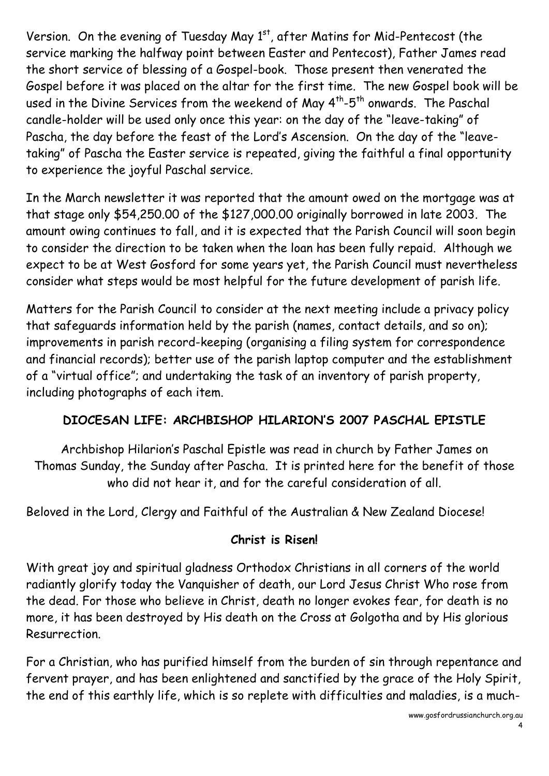Version. On the evening of Tuesday May 1<sup>st</sup>, after Matins for Mid-Pentecost (the service marking the halfway point between Easter and Pentecost), Father James read the short service of blessing of a Gospel-book. Those present then venerated the Gospel before it was placed on the altar for the first time. The new Gospel book will be used in the Divine Services from the weekend of May 4<sup>th</sup>-5<sup>th</sup> onwards. The Paschal candle-holder will be used only once this year: on the day of the "leave-taking" of Pascha, the day before the feast of the Lord's Ascension. On the day of the "leavetaking" of Pascha the Easter service is repeated, giving the faithful a final opportunity to experience the joyful Paschal service.

In the March newsletter it was reported that the amount owed on the mortgage was at that stage only \$54,250.00 of the \$127,000.00 originally borrowed in late 2003. The amount owing continues to fall, and it is expected that the Parish Council will soon begin to consider the direction to be taken when the loan has been fully repaid. Although we expect to be at West Gosford for some years yet, the Parish Council must nevertheless consider what steps would be most helpful for the future development of parish life.

Matters for the Parish Council to consider at the next meeting include a privacy policy that safeguards information held by the parish (names, contact details, and so on); improvements in parish record-keeping (organising a filing system for correspondence and financial records); better use of the parish laptop computer and the establishment of a "virtual office"; and undertaking the task of an inventory of parish property, including photographs of each item.

#### **DIOCESAN LIFE: ARCHBISHOP HILARION'S 2007 PASCHAL EPISTLE**

Archbishop Hilarion's Paschal Epistle was read in church by Father James on Thomas Sunday, the Sunday after Pascha. It is printed here for the benefit of those who did not hear it, and for the careful consideration of all.

Beloved in the Lord, Clergy and Faithful of the Australian & New Zealand Diocese!

#### **Christ is Risen!**

With great joy and spiritual gladness Orthodox Christians in all corners of the world radiantly glorify today the Vanquisher of death, our Lord Jesus Christ Who rose from the dead. For those who believe in Christ, death no longer evokes fear, for death is no more, it has been destroyed by His death on the Cross at Golgotha and by His glorious Resurrection.

For a Christian, who has purified himself from the burden of sin through repentance and fervent prayer, and has been enlightened and sanctified by the grace of the Holy Spirit, the end of this earthly life, which is so replete with difficulties and maladies, is a much-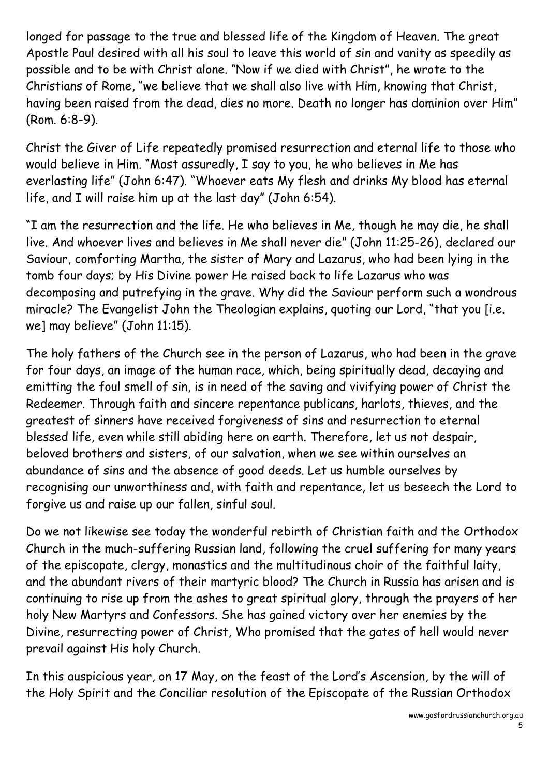longed for passage to the true and blessed life of the Kingdom of Heaven. The great Apostle Paul desired with all his soul to leave this world of sin and vanity as speedily as possible and to be with Christ alone. "Now if we died with Christ", he wrote to the Christians of Rome, "we believe that we shall also live with Him, knowing that Christ, having been raised from the dead, dies no more. Death no longer has dominion over Him" (Rom. 6:8-9).

Christ the Giver of Life repeatedly promised resurrection and eternal life to those who would believe in Him. "Most assuredly, I say to you, he who believes in Me has everlasting life" (John 6:47). "Whoever eats My flesh and drinks My blood has eternal life, and I will raise him up at the last day" (John 6:54).

"I am the resurrection and the life. He who believes in Me, though he may die, he shall live. And whoever lives and believes in Me shall never die" (John 11:25-26), declared our Saviour, comforting Martha, the sister of Mary and Lazarus, who had been lying in the tomb four days; by His Divine power He raised back to life Lazarus who was decomposing and putrefying in the grave. Why did the Saviour perform such a wondrous miracle? The Evangelist John the Theologian explains, quoting our Lord, "that you [i.e. we] may believe" (John 11:15).

The holy fathers of the Church see in the person of Lazarus, who had been in the grave for four days, an image of the human race, which, being spiritually dead, decaying and emitting the foul smell of sin, is in need of the saving and vivifying power of Christ the Redeemer. Through faith and sincere repentance publicans, harlots, thieves, and the greatest of sinners have received forgiveness of sins and resurrection to eternal blessed life, even while still abiding here on earth. Therefore, let us not despair, beloved brothers and sisters, of our salvation, when we see within ourselves an abundance of sins and the absence of good deeds. Let us humble ourselves by recognising our unworthiness and, with faith and repentance, let us beseech the Lord to forgive us and raise up our fallen, sinful soul.

Do we not likewise see today the wonderful rebirth of Christian faith and the Orthodox Church in the much-suffering Russian land, following the cruel suffering for many years of the episcopate, clergy, monastics and the multitudinous choir of the faithful laity, and the abundant rivers of their martyric blood? The Church in Russia has arisen and is continuing to rise up from the ashes to great spiritual glory, through the prayers of her holy New Martyrs and Confessors. She has gained victory over her enemies by the Divine, resurrecting power of Christ, Who promised that the gates of hell would never prevail against His holy Church.

In this auspicious year, on 17 May, on the feast of the Lord's Ascension, by the will of the Holy Spirit and the Conciliar resolution of the Episcopate of the Russian Orthodox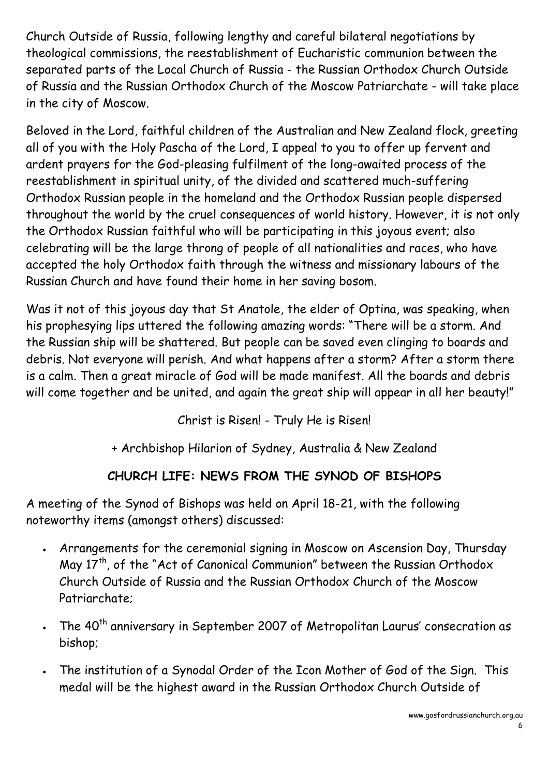Church Outside of Russia, following lengthy and careful bilateral negotiations by theological commissions, the reestablishment of Eucharistic communion between the separated parts of the Local Church of Russia - the Russian Orthodox Church Outside of Russia and the Russian Orthodox Church of the Moscow Patriarchate - will take place in the city of Moscow.

Beloved in the Lord, faithful children of the Australian and New Zealand flock, greeting all of you with the Holy Pascha of the Lord, I appeal to you to offer up fervent and ardent prayers for the God-pleasing fulfilment of the long-awaited process of the reestablishment in spiritual unity, of the divided and scattered much-suffering Orthodox Russian people in the homeland and the Orthodox Russian people dispersed throughout the world by the cruel consequences of world history. However, it is not only the Orthodox Russian faithful who will be participating in this joyous event; also celebrating will be the large throng of people of all nationalities and races, who have accepted the holy Orthodox faith through the witness and missionary labours of the Russian Church and have found their home in her saving bosom.

Was it not of this joyous day that St Anatole, the elder of Optina, was speaking, when his prophesying lips uttered the following amazing words: "There will be a storm. And the Russian ship will be shattered. But people can be saved even clinging to boards and debris. Not everyone will perish. And what happens after a storm? After a storm there is a calm. Then a great miracle of God will be made manifest. All the boards and debris will come together and be united, and again the great ship will appear in all her beauty!"

Christ is Risen! - Truly He is Risen!

+ Archbishop Hilarion of Sydney, Australia & New Zealand

#### **CHURCH LIFE: NEWS FROM THE SYNOD OF BISHOPS**

A meeting of the Synod of Bishops was held on April 18-21, with the following noteworthy items (amongst others) discussed:

- · Arrangements for the ceremonial signing in Moscow on Ascension Day, Thursday May  $17<sup>th</sup>$ , of the "Act of Canonical Communion" between the Russian Orthodox Church Outside of Russia and the Russian Orthodox Church of the Moscow Patriarchate;
- The 40<sup>th</sup> anniversary in September 2007 of Metropolitan Laurus' consecration as bishop;
- · The institution of a Synodal Order of the Icon Mother of God of the Sign. This medal will be the highest award in the Russian Orthodox Church Outside of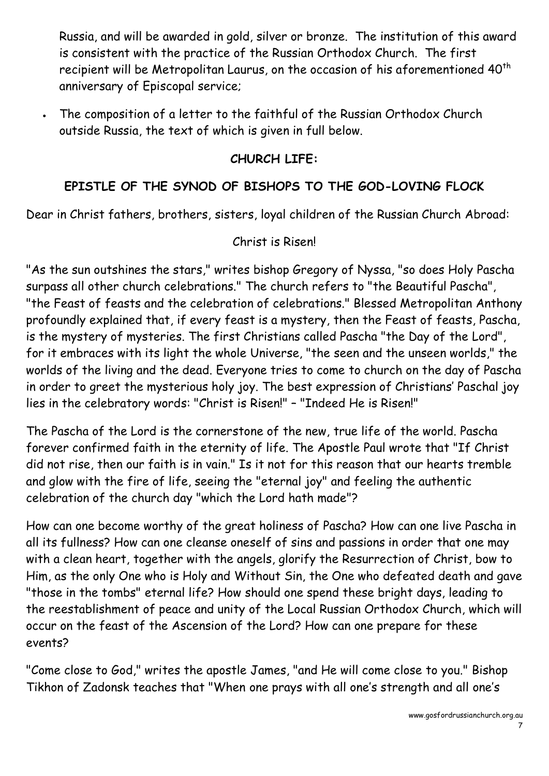Russia, and will be awarded in gold, silver or bronze. The institution of this award is consistent with the practice of the Russian Orthodox Church. The first recipient will be Metropolitan Laurus, on the occasion of his aforementioned  $40<sup>th</sup>$ anniversary of Episcopal service;

· The composition of a letter to the faithful of the Russian Orthodox Church outside Russia, the text of which is given in full below.

#### **CHURCH LIFE:**

#### **EPISTLE OF THE SYNOD OF BISHOPS TO THE GOD-LOVING FLOCK**

Dear in Christ fathers, brothers, sisters, loyal children of the Russian Church Abroad:

#### Christ is Risen!

"As the sun outshines the stars," writes bishop Gregory of Nyssa, "so does Holy Pascha surpass all other church celebrations." The church refers to "the Beautiful Pascha", "the Feast of feasts and the celebration of celebrations." Blessed Metropolitan Anthony profoundly explained that, if every feast is a mystery, then the Feast of feasts, Pascha, is the mystery of mysteries. The first Christians called Pascha "the Day of the Lord", for it embraces with its light the whole Universe, "the seen and the unseen worlds," the worlds of the living and the dead. Everyone tries to come to church on the day of Pascha in order to greet the mysterious holy joy. The best expression of Christians' Paschal joy lies in the celebratory words: "Christ is Risen!" – "Indeed He is Risen!"

The Pascha of the Lord is the cornerstone of the new, true life of the world. Pascha forever confirmed faith in the eternity of life. The Apostle Paul wrote that "If Christ did not rise, then our faith is in vain." Is it not for this reason that our hearts tremble and glow with the fire of life, seeing the "eternal joy" and feeling the authentic celebration of the church day "which the Lord hath made"?

How can one become worthy of the great holiness of Pascha? How can one live Pascha in all its fullness? How can one cleanse oneself of sins and passions in order that one may with a clean heart, together with the angels, glorify the Resurrection of Christ, bow to Him, as the only One who is Holy and Without Sin, the One who defeated death and gave "those in the tombs" eternal life? How should one spend these bright days, leading to the reestablishment of peace and unity of the Local Russian Orthodox Church, which will occur on the feast of the Ascension of the Lord? How can one prepare for these events?

"Come close to God," writes the apostle James, "and He will come close to you." Bishop Tikhon of Zadonsk teaches that "When one prays with all one's strength and all one's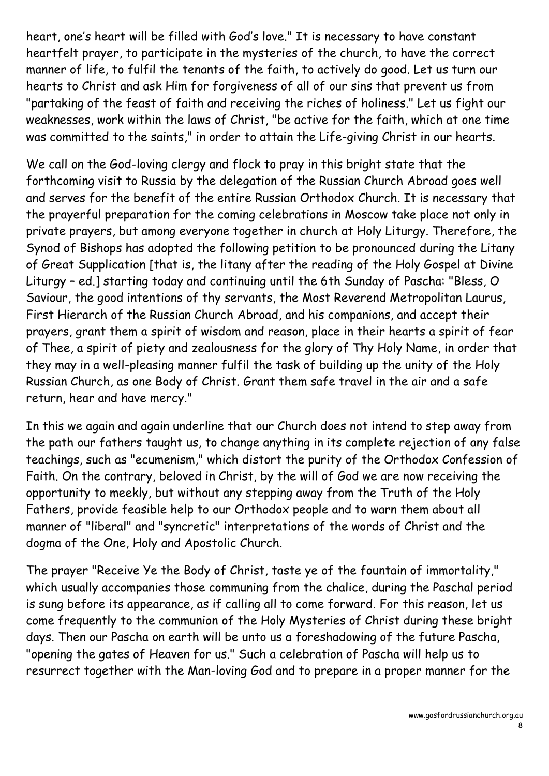heart, one's heart will be filled with God's love." It is necessary to have constant heartfelt prayer, to participate in the mysteries of the church, to have the correct manner of life, to fulfil the tenants of the faith, to actively do good. Let us turn our hearts to Christ and ask Him for forgiveness of all of our sins that prevent us from "partaking of the feast of faith and receiving the riches of holiness." Let us fight our weaknesses, work within the laws of Christ, "be active for the faith, which at one time was committed to the saints," in order to attain the Life-giving Christ in our hearts.

We call on the God-loving clergy and flock to pray in this bright state that the forthcoming visit to Russia by the delegation of the Russian Church Abroad goes well and serves for the benefit of the entire Russian Orthodox Church. It is necessary that the prayerful preparation for the coming celebrations in Moscow take place not only in private prayers, but among everyone together in church at Holy Liturgy. Therefore, the Synod of Bishops has adopted the following petition to be pronounced during the Litany of Great Supplication [that is, the litany after the reading of the Holy Gospel at Divine Liturgy – ed.] starting today and continuing until the 6th Sunday of Pascha: "Bless, O Saviour, the good intentions of thy servants, the Most Reverend Metropolitan Laurus, First Hierarch of the Russian Church Abroad, and his companions, and accept their prayers, grant them a spirit of wisdom and reason, place in their hearts a spirit of fear of Thee, a spirit of piety and zealousness for the glory of Thy Holy Name, in order that they may in a well-pleasing manner fulfil the task of building up the unity of the Holy Russian Church, as one Body of Christ. Grant them safe travel in the air and a safe return, hear and have mercy."

In this we again and again underline that our Church does not intend to step away from the path our fathers taught us, to change anything in its complete rejection of any false teachings, such as "ecumenism," which distort the purity of the Orthodox Confession of Faith. On the contrary, beloved in Christ, by the will of God we are now receiving the opportunity to meekly, but without any stepping away from the Truth of the Holy Fathers, provide feasible help to our Orthodox people and to warn them about all manner of "liberal" and "syncretic" interpretations of the words of Christ and the dogma of the One, Holy and Apostolic Church.

The prayer "Receive Ye the Body of Christ, taste ye of the fountain of immortality," which usually accompanies those communing from the chalice, during the Paschal period is sung before its appearance, as if calling all to come forward. For this reason, let us come frequently to the communion of the Holy Mysteries of Christ during these bright days. Then our Pascha on earth will be unto us a foreshadowing of the future Pascha, "opening the gates of Heaven for us." Such a celebration of Pascha will help us to resurrect together with the Man-loving God and to prepare in a proper manner for the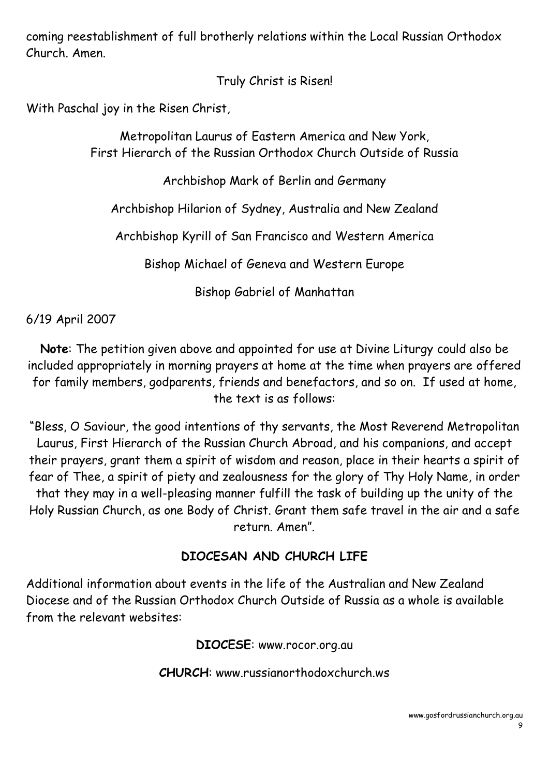coming reestablishment of full brotherly relations within the Local Russian Orthodox Church. Amen.

Truly Christ is Risen!

With Paschal joy in the Risen Christ, Metropolitan Laurus of Eastern America and New York, First Hierarch of the Russian Orthodox Church Outside of Russia

Archbishop Mark of Berlin and Germany

Archbishop Hilarion of Sydney, Australia and New Zealand

Archbishop Kyrill of San Francisco and Western America

Bishop Michael of Geneva and Western Europe

Bishop Gabriel of Manhattan

6/19 April 2007

**Note**: The petition given above and appointed for use at Divine Liturgy could also be included appropriately in morning prayers at home at the time when prayers are offered for family members, godparents, friends and benefactors, and so on. If used at home,<br>the text is as follows:

"Bless, O Saviour, the good intentions of thy servants, the Most Reverend Metropolitan Laurus, First Hierarch of the Russian Church Abroad, and his companions, and accept their prayers, grant them a spirit of wisdom and reason, place in their hearts a spirit of fear of Thee, a spirit of piety and zealousness for the glory of Thy Holy Name, in order that they may in a well-pleasing manner fulfill the task of building up the unity of the Holy Russian Church, as one Body of Christ. Grant them safe travel in the air and a safe return. Amen".

#### **DIOCESAN AND CHURCH LIFE**

Additional information about events in the life of the Australian and New Zealand Diocese and of the Russian Orthodox Church Outside of Russia as a whole is available from the relevant websites:

**DIOCESE**: www.rocor.org.au

**CHURCH**: www.russianorthodoxchurch.ws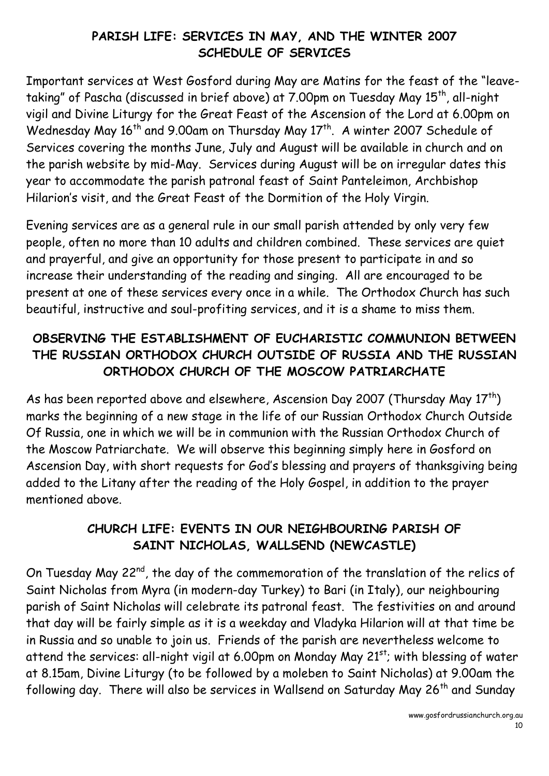#### **PARISH LIFE: SERVICES IN MAY, AND THE WINTER 2007 SCHEDULE OF SERVICES**

Important services at West Gosford during May are Matins for the feast of the "leavetaking" of Pascha (discussed in brief above) at 7.00pm on Tuesday May 15<sup>th</sup>, all-night vigil and Divine Liturgy for the Great Feast of the Ascension of the Lord at 6.00pm on Wednesday May 16<sup>th</sup> and 9.00am on Thursday May 17<sup>th</sup>. A winter 2007 Schedule of Services covering the months June, July and August will be available in church and on the parish website by mid-May. Services during August will be on irregular dates this year to accommodate the parish patronal feast of Saint Panteleimon, Archbishop Hilarion's visit, and the Great Feast of the Dormition of the Holy Virgin.

Evening services are as a general rule in our small parish attended by only very few people, often no more than 10 adults and children combined. These services are quiet and prayerful, and give an opportunity for those present to participate in and so increase their understanding of the reading and singing. All are encouraged to be present at one of these services every once in a while. The Orthodox Church has such beautiful, instructive and soul-profiting services, and it is a shame to miss them.

#### **OBSERVING THE ESTABLISHMENT OF EUCHARISTIC COMMUNION BETWEEN THE RUSSIAN ORTHODOX CHURCH OUTSIDE OF RUSSIA AND THE RUSSIAN ORTHODOX CHURCH OF THE MOSCOW PATRIARCHATE**

As has been reported above and elsewhere, Ascension Day 2007 (Thursday May  $17<sup>th</sup>$ ) marks the beginning of a new stage in the life of our Russian Orthodox Church Outside Of Russia, one in which we will be in communion with the Russian Orthodox Church of the Moscow Patriarchate. We will observe this beginning simply here in Gosford on Ascension Day, with short requests for God's blessing and prayers of thanksgiving being added to the Litany after the reading of the Holy Gospel, in addition to the prayer mentioned above.

#### **CHURCH LIFE: EVENTS IN OUR NEIGHBOURING PARISH OF SAINT NICHOLAS, WALLSEND (NEWCASTLE)**

On Tuesday May 22<sup>nd</sup>, the day of the commemoration of the translation of the relics of Saint Nicholas from Myra (in modern-day Turkey) to Bari (in Italy), our neighbouring parish of Saint Nicholas will celebrate its patronal feast. The festivities on and around that day will be fairly simple as it is a weekday and Vladyka Hilarion will at that time be in Russia and so unable to join us. Friends of the parish are nevertheless welcome to attend the services: all-night vigil at 6.00pm on Monday May 21<sup>st</sup>; with blessing of water at 8.15am, Divine Liturgy (to be followed by a moleben to Saint Nicholas) at 9.00am the following day. There will also be services in Wallsend on Saturday May 26<sup>th</sup> and Sunday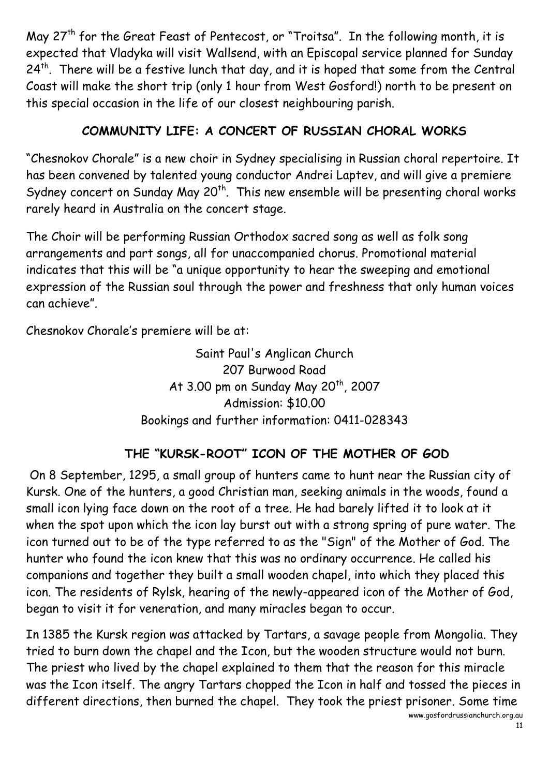May  $27<sup>th</sup>$  for the Great Feast of Pentecost, or "Troitsa". In the following month, it is expected that Vladyka will visit Wallsend, with an Episcopal service planned for Sunday  $24<sup>th</sup>$ . There will be a festive lunch that day, and it is hoped that some from the Central Coast will make the short trip (only 1 hour from West Gosford!) north to be present on this special occasion in the life of our closest neighbouring parish.

#### **COMMUNITY LIFE: A CONCERT OF RUSSIAN CHORAL WORKS**

"Chesnokov Chorale" is a new choir in Sydney specialising in Russian choral repertoire. It has been convened by talented young conductor Andrei Laptev, and will give a premiere Sydney concert on Sunday May  $20^{th}$ . This new ensemble will be presenting choral works rarely heard in Australia on the concert stage.

The Choir will be performing Russian Orthodox sacred song as well as folk song arrangements and part songs, all for unaccompanied chorus. Promotional material indicates that this will be "a unique opportunity to hear the sweeping and emotional expression of the Russian soul through the power and freshness that only human voices can achieve".

Chesnokov Chorale's premiere will be at:

Saint Paul's Anglican Church 207 Burwood Road At 3.00 pm on Sunday May  $20<sup>th</sup>$ , 2007 Admission: \$10.00 Bookings and further information: 0411-028343

#### **THE "KURSK-ROOT" ICON OF THE MOTHER OF GOD**

On 8 September, 1295, a small group of hunters came to hunt near the Russian city of Kursk. One of the hunters, a good Christian man, seeking animals in the woods, found a small icon lying face down on the root of a tree. He had barely lifted it to look at it when the spot upon which the icon lay burst out with a strong spring of pure water. The icon turned out to be of the type referred to as the "Sign" of the Mother of God. The hunter who found the icon knew that this was no ordinary occurrence. He called his companions and together they built a small wooden chapel, into which they placed this icon. The residents of Rylsk, hearing of the newly-appeared icon of the Mother of God, began to visit it for veneration, and many miracles began to occur.

In 1385 the Kursk region was attacked by Tartars, a savage people from Mongolia. They tried to burn down the chapel and the Icon, but the wooden structure would not burn. The priest who lived by the chapel explained to them that the reason for this miracle was the Icon itself. The angry Tartars chopped the Icon in half and tossed the pieces in different directions, then burned the chapel. They took the priest prisoner. Some time